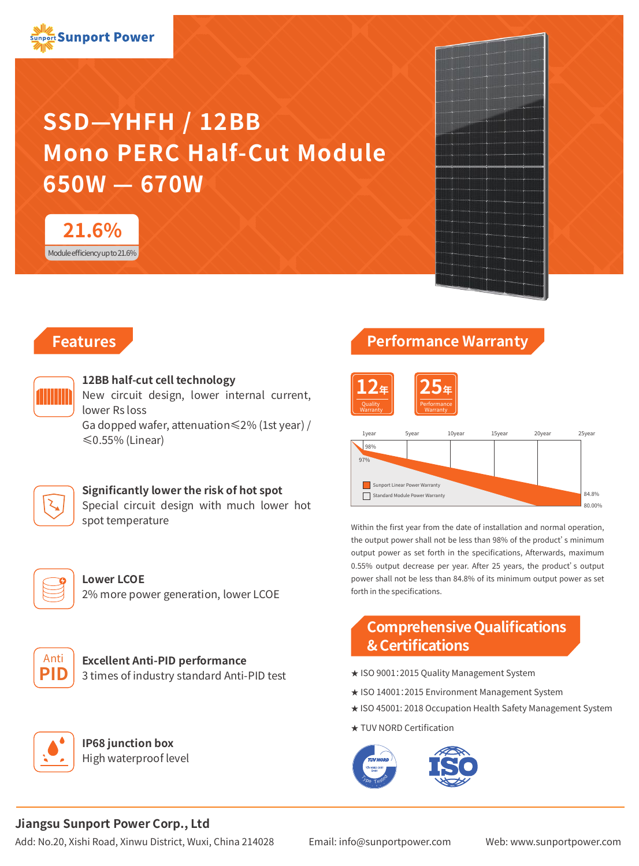

# **SSD—YHFH / 12BB Mono PERC Half-Cut Module 650W — 670W**





### **Features**



#### **12BB half-cut cell technology**

New circuit design, lower internal current, lower Rs loss

Ga dopped wafer, attenuation≤2% (1st year) / ≤0.55% (Linear)

#### **Significantly lower the risk of hot spot**

Special circuit design with much lower hot spot temperature



**Lower LCOE** 2% more power generation, lower LCOE



# **Excellent Anti-PID performance**

3 times of industry standard Anti-PID test



**IP68 junction box** High waterproof level

## **Performance Warranty**





Within the first year from the date of installation and normal operation, the output power shall not be less than 98% of the product's minimum output power as set forth in the specifications, Afterwards, maximum 0.55% output decrease per year. After 25 years, the product's output power shall not be less than 84.8% of its minimum output power as set forth in the specifications.

### **Comprehensive Qualifications & Certifications**

- ★ ISO 9001:2015 Quality Management System
- ★ ISO 14001:2015 Environment Management System
- ★ ISO 45001: 2018 Occupation Health Safety Management System
- ★ TUV NORD Certification



#### **Jiangsu Sunport Power Corp., Ltd**

Add: No.20, Xishi Road, Xinwu District, Wuxi, China 214028 Email: info@sunportpower.com Web: www.sunportpower.com